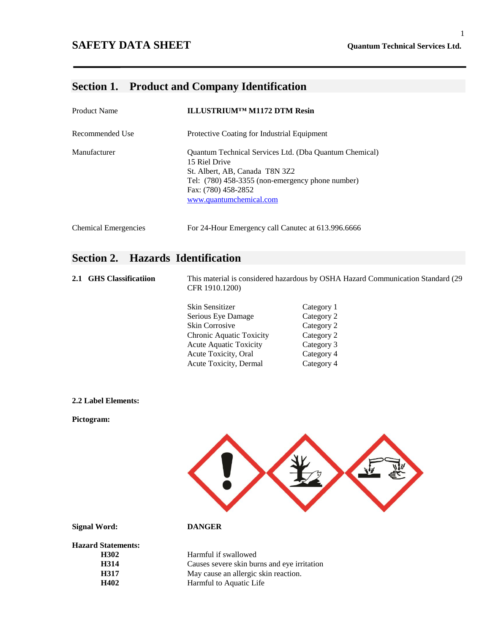## **SAFETY DATA SHEET Quantum Technical Services Ltd.**

# **Section 1. Product and Company Identification**

| <b>Product Name</b>         | ILLUSTRIUM <sup>TM</sup> M1172 DTM Resin                                                                                                                                                                               |
|-----------------------------|------------------------------------------------------------------------------------------------------------------------------------------------------------------------------------------------------------------------|
| Recommended Use             | Protective Coating for Industrial Equipment                                                                                                                                                                            |
| Manufacturer                | <b>Quantum Technical Services Ltd. (Dba Quantum Chemical)</b><br>15 Riel Drive<br>St. Albert, AB, Canada T8N 3Z2<br>Tel: (780) 458-3355 (non-emergency phone number)<br>Fax: (780) 458-2852<br>www.quantumchemical.com |
| <b>Chemical Emergencies</b> | For 24-Hour Emergency call Canutec at 613.996.6666                                                                                                                                                                     |

# **Section 2. Hazards Identification**

| 2.1 | <b>GHS</b> Classificatiion | This material is considered hazardous by OSHA Hazard Communication Standard (29)<br>CFR 1910.1200) |            |  |
|-----|----------------------------|----------------------------------------------------------------------------------------------------|------------|--|
|     |                            | Skin Sensitizer                                                                                    | Category 1 |  |
|     |                            | Serious Eye Damage                                                                                 | Category 2 |  |
|     |                            | <b>Skin Corrosive</b>                                                                              | Category 2 |  |
|     |                            | Chronic Aquatic Toxicity                                                                           | Category 2 |  |
|     |                            | <b>Acute Aquatic Toxicity</b>                                                                      | Category 3 |  |
|     |                            | Acute Toxicity, Oral                                                                               | Category 4 |  |
|     |                            | Acute Toxicity, Dermal                                                                             | Category 4 |  |
|     |                            |                                                                                                    |            |  |

### **2.2 Label Elements:**

**Pictogram:**



**Signal Word: DANGER**

**Hazard Statements:**

Harmful if swallowed **H314** Causes severe skin burns and eye irritation **H317 May cause an allergic skin reaction.**<br> **H402 Harmful to Aquatic Life Harmful to Aquatic Life**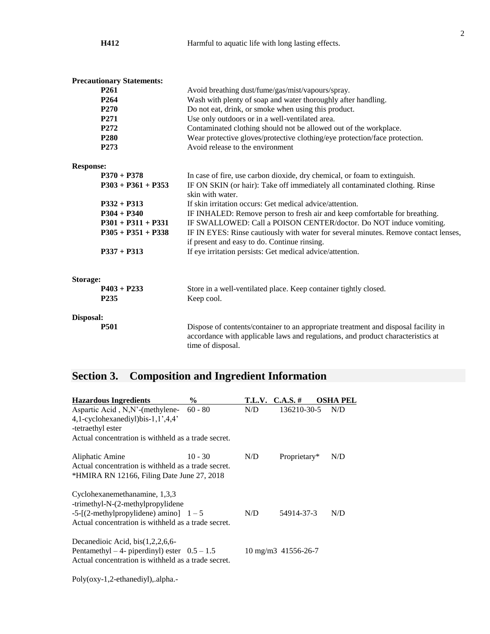|                  | H412                             | Harmful to aquatic life with long lasting effects.                                                                                                                                         |  |
|------------------|----------------------------------|--------------------------------------------------------------------------------------------------------------------------------------------------------------------------------------------|--|
|                  |                                  |                                                                                                                                                                                            |  |
|                  | <b>Precautionary Statements:</b> |                                                                                                                                                                                            |  |
|                  | P <sub>261</sub>                 | Avoid breathing dust/fume/gas/mist/vapours/spray.                                                                                                                                          |  |
|                  | P <sub>264</sub>                 | Wash with plenty of soap and water thoroughly after handling.                                                                                                                              |  |
|                  | P <sub>270</sub>                 | Do not eat, drink, or smoke when using this product.                                                                                                                                       |  |
|                  | P271                             | Use only outdoors or in a well-ventilated area.                                                                                                                                            |  |
|                  | P272                             | Contaminated clothing should not be allowed out of the workplace.                                                                                                                          |  |
|                  | P <sub>280</sub>                 | Wear protective gloves/protective clothing/eye protection/face protection.                                                                                                                 |  |
|                  | P <sub>273</sub>                 | Avoid release to the environment                                                                                                                                                           |  |
| <b>Response:</b> |                                  |                                                                                                                                                                                            |  |
|                  | $P370 + P378$                    | In case of fire, use carbon dioxide, dry chemical, or foam to extinguish.                                                                                                                  |  |
|                  | $P303 + P361 + P353$             | IF ON SKIN (or hair): Take off immediately all contaminated clothing. Rinse                                                                                                                |  |
|                  |                                  | skin with water.                                                                                                                                                                           |  |
|                  | $P332 + P313$                    | If skin irritation occurs: Get medical advice/attention.                                                                                                                                   |  |
|                  | $P304 + P340$                    | IF INHALED: Remove person to fresh air and keep comfortable for breathing.                                                                                                                 |  |
|                  | $P301 + P311 + P331$             | IF SWALLOWED: Call a POISON CENTER/doctor. Do NOT induce vomiting.                                                                                                                         |  |
|                  | $P305 + P351 + P338$             | IF IN EYES: Rinse cautiously with water for several minutes. Remove contact lenses,                                                                                                        |  |
|                  |                                  | if present and easy to do. Continue rinsing.                                                                                                                                               |  |
|                  | $P337 + P313$                    | If eye irritation persists: Get medical advice/attention.                                                                                                                                  |  |
|                  |                                  |                                                                                                                                                                                            |  |
| <b>Storage:</b>  |                                  |                                                                                                                                                                                            |  |
|                  | $P403 + P233$                    | Store in a well-ventilated place. Keep container tightly closed.                                                                                                                           |  |
|                  | P <sub>235</sub>                 | Keep cool.                                                                                                                                                                                 |  |
| Disposal:        |                                  |                                                                                                                                                                                            |  |
|                  | <b>P501</b>                      | Dispose of contents/container to an appropriate treatment and disposal facility in<br>accordance with applicable laws and regulations, and product characteristics at<br>time of disposal. |  |

2

# **Section 3. Composition and Ingredient Information**

| <b>Hazardous Ingredients</b>                        | $\frac{6}{9}$ | T.L.V. C.A.S. # |                                | <b>OSHA PEL</b> |
|-----------------------------------------------------|---------------|-----------------|--------------------------------|-----------------|
| Aspartic Acid, N, N'-(methylene- $60 - 80$          |               | N/D             | 136210-30-5                    | N/D             |
| 4,1-cyclohexanediyl)bis-1,1',4,4'                   |               |                 |                                |                 |
| -tetraethyl ester                                   |               |                 |                                |                 |
| Actual concentration is withheld as a trade secret. |               |                 |                                |                 |
| Aliphatic Amine                                     | $10 - 30$     | N/D             | Proprietary*                   | N/D             |
| Actual concentration is withheld as a trade secret. |               |                 |                                |                 |
| *HMIRA RN 12166, Filing Date June 27, 2018          |               |                 |                                |                 |
| Cyclohexanemethanamine, 1,3,3                       |               |                 |                                |                 |
| -trimethyl-N-(2-methylpropylidene                   |               |                 |                                |                 |
| $-5$ -[(2-methylpropylidene) amino] $1-5$           |               | N/D             | 54914-37-3                     | N/D             |
| Actual concentration is withheld as a trade secret. |               |                 |                                |                 |
| Decanedioic Acid, $bis(1,2,2,6,6-$                  |               |                 |                                |                 |
| Pentamethyl – 4- piperdinyl) ester $0.5 - 1.5$      |               |                 | $10 \text{ mg/m}$ 3 41556-26-7 |                 |
| Actual concentration is withheld as a trade secret. |               |                 |                                |                 |
| Poly(oxy-1,2-ethanediyl), alpha.-                   |               |                 |                                |                 |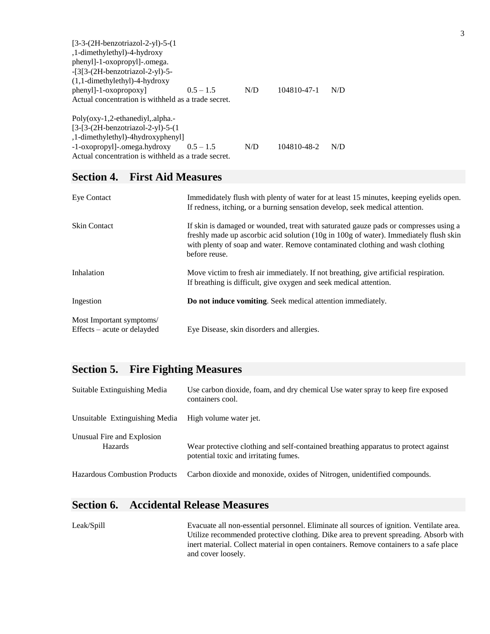| $[3-3-(2H-benzotriazol-2-yl)-5-(1$                  |             |     |             |     |
|-----------------------------------------------------|-------------|-----|-------------|-----|
| ,1-dimethylethyl)-4-hydroxy                         |             |     |             |     |
| phenyl]-1-oxopropyl]-.omega.                        |             |     |             |     |
| $-[3[3-(2H-benzotriazol-2-yl)-5-$                   |             |     |             |     |
| $(1,1$ -dimethylethyl)-4-hydroxy                    |             |     |             |     |
| $phenyl$ ]-1- $oxopropoxy$ ]                        | $0.5 - 1.5$ | N/D | 104810-47-1 | N/D |
| Actual concentration is withheld as a trade secret. |             |     |             |     |
| Poly(oxy-1,2-ethanediyl,.alpha.-                    |             |     |             |     |
| $[3-[3-(2H-benzotriazol-2-vl)-5-(1$                 |             |     |             |     |
| ,1-dimethylethyl)-4hydroxyphenyl]                   |             |     |             |     |
| -1-oxopropyl]-.omega.hydroxy                        | $0.5 - 1.5$ | N/D | 104810-48-2 | N/D |
| Actual concentration is withheld as a trade secret. |             |     |             |     |

## **Section 4. First Aid Measures**

| Eye Contact                                             | Immedidately flush with plenty of water for at least 15 minutes, keeping eyelids open.<br>If redness, itching, or a burning sensation develop, seek medical attention.                                                                                                          |
|---------------------------------------------------------|---------------------------------------------------------------------------------------------------------------------------------------------------------------------------------------------------------------------------------------------------------------------------------|
| <b>Skin Contact</b>                                     | If skin is damaged or wounded, treat with saturated gauze pads or compresses using a<br>freshly made up ascorbic acid solution (10g in 100g of water). Immediately flush skin<br>with plenty of soap and water. Remove contaminated clothing and wash clothing<br>before reuse. |
| Inhalation                                              | Move victim to fresh air immediately. If not breathing, give artificial respiration.<br>If breathing is difficult, give oxygen and seek medical attention.                                                                                                                      |
| Ingestion                                               | Do not induce vomiting. Seek medical attention immediately.                                                                                                                                                                                                                     |
| Most Important symptoms/<br>Effects – acute or delayded | Eye Disease, skin disorders and allergies.                                                                                                                                                                                                                                      |

# **Section 5. Fire Fighting Measures**

| Suitable Extinguishing Media                 | Use carbon dioxide, foam, and dry chemical Use water spray to keep fire exposed<br>containers cool.                         |
|----------------------------------------------|-----------------------------------------------------------------------------------------------------------------------------|
| Unsuitable Extinguishing Media               | High volume water jet.                                                                                                      |
| Unusual Fire and Explosion<br><b>Hazards</b> | Wear protective clothing and self-contained breathing apparatus to protect against<br>potential toxic and irritating fumes. |
| <b>Hazardous Combustion Products</b>         | Carbon dioxide and monoxide, oxides of Nitrogen, unidentified compounds.                                                    |

## **Section 6. Accidental Release Measures**

Leak/Spill Evacuate all non-essential personnel. Eliminate all sources of ignition. Ventilate area. Utilize recommended protective clothing. Dike area to prevent spreading. Absorb with inert material. Collect material in open containers. Remove containers to a safe place and cover loosely.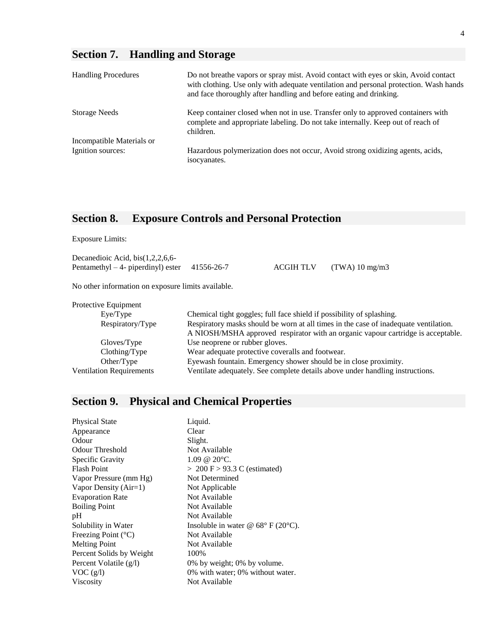# **Section 7. Handling and Storage**

| <b>Handling Procedures</b> | Do not breathe vapors or spray mist. Avoid contact with eyes or skin, Avoid contact<br>with clothing. Use only with adequate ventilation and personal protection. Wash hands<br>and face thoroughly after handling and before eating and drinking. |
|----------------------------|----------------------------------------------------------------------------------------------------------------------------------------------------------------------------------------------------------------------------------------------------|
| <b>Storage Needs</b>       | Keep container closed when not in use. Transfer only to approved containers with<br>complete and appropriate labeling. Do not take internally. Keep out of reach of<br>children.                                                                   |
| Incompatible Materials or  |                                                                                                                                                                                                                                                    |
| Ignition sources:          | Hazardous polymerization does not occur, Avoid strong oxidizing agents, acids,<br>isocyanates.                                                                                                                                                     |

# **Section 8. Exposure Controls and Personal Protection**

Decanedioic Acid, bis(1,2,2,6,6- Pentamethyl – 4- piperdinyl) ester 41556-26-7 ACGIH TLV (TWA) 10 mg/m3

No other information on exposure limits available.

| Protective Equipment            |                                                                                      |
|---------------------------------|--------------------------------------------------------------------------------------|
| Eye/Type                        | Chemical tight goggles; full face shield if possibility of splashing.                |
| Respiratory/Type                | Respiratory masks should be worn at all times in the case of inadequate ventilation. |
|                                 | A NIOSH/MSHA approved respirator with an organic vapour cartridge is acceptable.     |
| Gloves/Type                     | Use neoprene or rubber gloves.                                                       |
| Clothing/Type                   | Wear adequate protective coveralls and footwear.                                     |
| Other/Type                      | Eyewash fountain. Emergency shower should be in close proximity.                     |
| <b>Ventilation Requirements</b> | Ventilate adequately. See complete details above under handling instructions.        |
|                                 |                                                                                      |

# **Section 9. Physical and Chemical Properties**

| <b>Physical State</b>          | Liquid.                                                |
|--------------------------------|--------------------------------------------------------|
| Appearance                     | Clear                                                  |
| Odour                          | Slight.                                                |
| Odour Threshold                | Not Available                                          |
| Specific Gravity               | $1.09 \& 20^{\circ}C$ .                                |
| <b>Flash Point</b>             | $> 200$ F $> 93.3$ C (estimated)                       |
| Vapor Pressure (mm Hg)         | Not Determined                                         |
| Vapor Density $(Air=1)$        | Not Applicable                                         |
| <b>Evaporation Rate</b>        | Not Available                                          |
| <b>Boiling Point</b>           | Not Available                                          |
| pH                             | Not Available                                          |
| Solubility in Water            | Insoluble in water @ $68^{\circ}$ F (20 $^{\circ}$ C). |
| Freezing Point $({}^{\circ}C)$ | Not Available                                          |
| <b>Melting Point</b>           | Not Available                                          |
| Percent Solids by Weight       | 100%                                                   |
| Percent Volatile (g/l)         | 0% by weight; 0% by volume.                            |
| VOC(g/l)                       | 0% with water; 0% without water.                       |
| <b>Viscosity</b>               | Not Available                                          |
|                                |                                                        |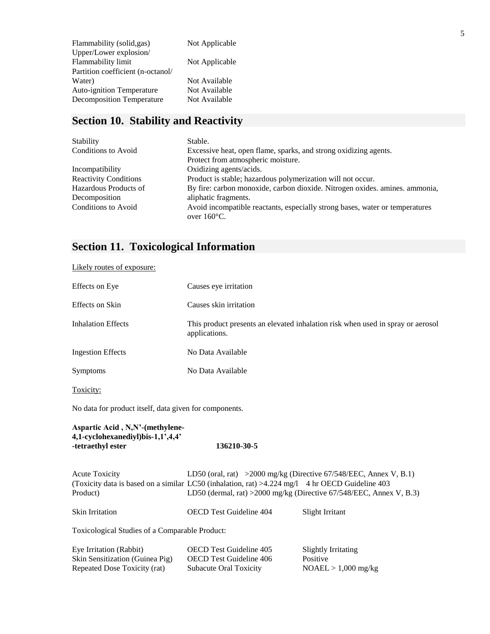| Flammability (solid,gas)          | Not Applicable |
|-----------------------------------|----------------|
| Upper/Lower explosion/            |                |
| Flammability limit                | Not Applicable |
| Partition coefficient (n-octanol/ |                |
| Water)                            | Not Available  |
| <b>Auto-ignition Temperature</b>  | Not Available  |
| <b>Decomposition Temperature</b>  | Not Available  |
|                                   |                |

# **Section 10. Stability and Reactivity**

| Stability                    | Stable.                                                                                               |  |
|------------------------------|-------------------------------------------------------------------------------------------------------|--|
| Conditions to Avoid          | Excessive heat, open flame, sparks, and strong oxidizing agents.                                      |  |
|                              | Protect from atmospheric moisture.                                                                    |  |
| Incompatibility              | Oxidizing agents/acids.                                                                               |  |
| <b>Reactivity Conditions</b> | Product is stable; hazardous polymerization will not occur.                                           |  |
| Hazardous Products of        | By fire: carbon monoxide, carbon dioxide. Nitrogen oxides. amines. ammonia,                           |  |
| Decomposition                | aliphatic fragments.                                                                                  |  |
| <b>Conditions to Avoid</b>   | Avoid incompatible reactants, especially strong bases, water or temperatures<br>over $160^{\circ}$ C. |  |

# **Section 11. Toxicological Information**

Likely routes of exposure:

| Effects on Eye            | Causes eye irritation                                                                            |
|---------------------------|--------------------------------------------------------------------------------------------------|
| Effects on Skin           | Causes skin irritation                                                                           |
| <b>Inhalation Effects</b> | This product presents an elevated inhalation risk when used in spray or aerosol<br>applications. |
| <b>Ingestion Effects</b>  | No Data Available                                                                                |
| <b>Symptoms</b>           | No Data Available                                                                                |
| Toxicity:                 |                                                                                                  |

No data for product itself, data given for components.

### **Aspartic Acid , N,N'-(methylene-4,1-cyclohexanediyl)bis-1,1',4,4' -tetraethyl ester 136210-30-5**

| <b>Acute Toxicity</b>                          |                                                                                                   | LD50 (oral, rat) > $2000$ mg/kg (Directive 67/548/EEC, Annex V, B.1) |  |
|------------------------------------------------|---------------------------------------------------------------------------------------------------|----------------------------------------------------------------------|--|
|                                                | (Toxicity data is based on a similar LC50 (inhalation, rat) $>4.224$ mg/l 4 hr OECD Guideline 403 |                                                                      |  |
| Product)                                       | LD50 (dermal, rat) > 2000 mg/kg (Directive 67/548/EEC, Annex V, B.3)                              |                                                                      |  |
| <b>Skin Irritation</b>                         | <b>OECD</b> Test Guideline 404                                                                    | Slight Irritant                                                      |  |
| Toxicological Studies of a Comparable Product: |                                                                                                   |                                                                      |  |
| Eye Irritation (Rabbit)                        | <b>OECD</b> Test Guideline 405                                                                    | Slightly Irritating                                                  |  |
| Skin Sensitization (Guinea Pig)                | <b>OECD</b> Test Guideline 406                                                                    | Positive                                                             |  |

Repeated Dose Toxicity (rat) Subacute Oral Toxicity NOAEL > 1,000 mg/kg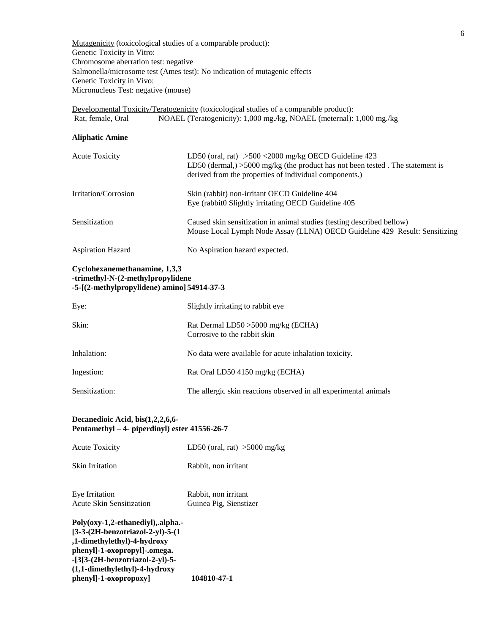Mutagenicity (toxicological studies of a comparable product): Genetic Toxicity in Vitro: Chromosome aberration test: negative Salmonella/microsome test (Ames test): No indication of mutagenic effects Genetic Toxicity in Vivo: Micronucleus Test: negative (mouse)

Developmental Toxicity/Teratogenicity (toxicological studies of a comparable product): Rat, female, Oral NOAEL (Teratogenicity): 1,000 mg./kg, NOAEL (meternal): 1,000 mg./kg

### **Aliphatic Amine**

| <b>Acute Toxicity</b> | LD50 (oral, rat) $.500 < 2000$ mg/kg OECD Guideline 423<br>LD50 (dermal,) $>5000$ mg/kg (the product has not been tested. The statement is<br>derived from the properties of individual components.) |
|-----------------------|------------------------------------------------------------------------------------------------------------------------------------------------------------------------------------------------------|
| Irritation/Corrosion  | Skin (rabbit) non-irritant OECD Guideline 404<br>Eye (rabbit0 Slightly irritating OECD Guideline 405                                                                                                 |
| Sensitization         | Caused skin sensitization in animal studies (testing described bellow)<br>Mouse Local Lymph Node Assay (LLNA) OECD Guideline 429 Result: Sensitizing                                                 |

Aspiration Hazard No Aspiration hazard expected.

### **Cyclohexanemethanamine, 1,3,3 -trimethyl-N-(2-methylpropylidene -5-[(2-methylpropylidene) amino] 54914-37-3**

| Eye:           | Slightly irritating to rabbit eye.                                  |
|----------------|---------------------------------------------------------------------|
| Skin:          | Rat Dermal LD50 > 5000 mg/kg (ECHA)<br>Corrosive to the rabbit skin |
| Inhalation:    | No data were available for acute inhalation toxicity.               |
| Ingestion:     | Rat Oral LD50 4150 mg/kg (ECHA)                                     |
| Sensitization: | The allergic skin reactions observed in all experimental animals    |

### **Decanedioic Acid, bis(1,2,2,6,6- Pentamethyl – 4- piperdinyl) ester 41556-26-7**

| <b>Acute Toxicity</b>                      | LD50 (oral, rat) $>5000$ mg/kg                 |
|--------------------------------------------|------------------------------------------------|
| Skin Irritation                            | Rabbit, non irritant                           |
| Eye Irritation<br>Acute Skin Sensitization | Rabbit, non irritant<br>Guinea Pig, Sienstizer |

### **Poly(oxy-1,2-ethanediyl),.alpha.- [3-3-(2H-benzotriazol-2-yl)-5-(1 ,1-dimethylethyl)-4-hydroxy phenyl]-1-oxopropyl]-.omega. -[3[3-(2H-benzotriazol-2-yl)-5- (1,1-dimethylethyl)-4-hydroxy phenyl]-1-oxopropoxy] 104810-47-1**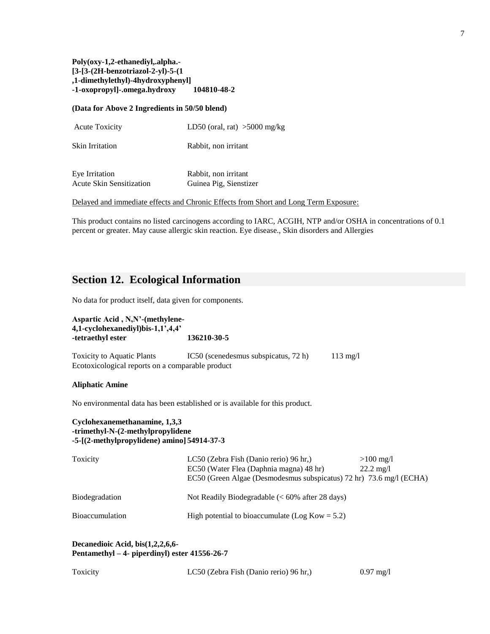### **Poly(oxy-1,2-ethanediyl,.alpha.- [3-[3-(2H-benzotriazol-2-yl)-5-(1 ,1-dimethylethyl)-4hydroxyphenyl] -1-oxopropyl]-.omega.hydroxy 104810-48-2**

### **(Data for Above 2 Ingredients in 50/50 blend)**

| <b>Acute Toxicity</b> | LD50 (oral, rat) $>5000$ mg/kg |  |
|-----------------------|--------------------------------|--|
|                       |                                |  |

Skin Irritation Rabbit, non irritant

| Eye Irritation                  | Rabbit, non irritant   |
|---------------------------------|------------------------|
| <b>Acute Skin Sensitization</b> | Guinea Pig, Sienstizer |

Delayed and immediate effects and Chronic Effects from Short and Long Term Exposure:

This product contains no listed carcinogens according to IARC, ACGIH, NTP and/or OSHA in concentrations of 0.1 percent or greater. May cause allergic skin reaction. Eye disease., Skin disorders and Allergies

## **Section 12. Ecological Information**

No data for product itself, data given for components.

| Aspartic Acid, N, N'-(methylene-<br>4,1-cyclohexanediyl)bis-1,1',4,4'<br>-tetraethyl ester                        | 136210-30-5                                                                                                                                                                                    |
|-------------------------------------------------------------------------------------------------------------------|------------------------------------------------------------------------------------------------------------------------------------------------------------------------------------------------|
| <b>Toxicity to Aquatic Plants</b><br>Ecotoxicological reports on a comparable product                             | $IC50$ (scenedesmus subspicatus, 72 h)<br>$113 \text{ mg}/l$                                                                                                                                   |
| <b>Aliphatic Amine</b>                                                                                            |                                                                                                                                                                                                |
|                                                                                                                   | No environmental data has been established or is available for this product.                                                                                                                   |
| Cyclohexanemethanamine, 1,3,3<br>-trimethyl-N-(2-methylpropylidene<br>-5-[(2-methylpropylidene) amino] 54914-37-3 |                                                                                                                                                                                                |
| Toxicity                                                                                                          | LC50 (Zebra Fish (Danio rerio) 96 hr.)<br>$>100$ mg/l<br>EC50 (Water Flea (Daphnia magna) 48 hr)<br>$22.2 \text{ mg}/1$<br>EC50 (Green Algae (Desmodesmus subspicatus) 72 hr) 73.6 mg/l (ECHA) |
| Biodegradation                                                                                                    | Not Readily Biodegradable $(< 60\%$ after 28 days)                                                                                                                                             |
| Bioaccumulation                                                                                                   | High potential to bioaccumulate (Log Kow = $5.2$ )                                                                                                                                             |
| Decanedioic Acid, bis(1,2,2,6,6-<br>Pentamethyl – 4- piperdinyl) ester 41556-26-7                                 |                                                                                                                                                                                                |

| Toxicity | LC50 (Zebra Fish (Danio rerio) 96 hr.) | $0.97 \text{ mg}/1$ |
|----------|----------------------------------------|---------------------|
|----------|----------------------------------------|---------------------|